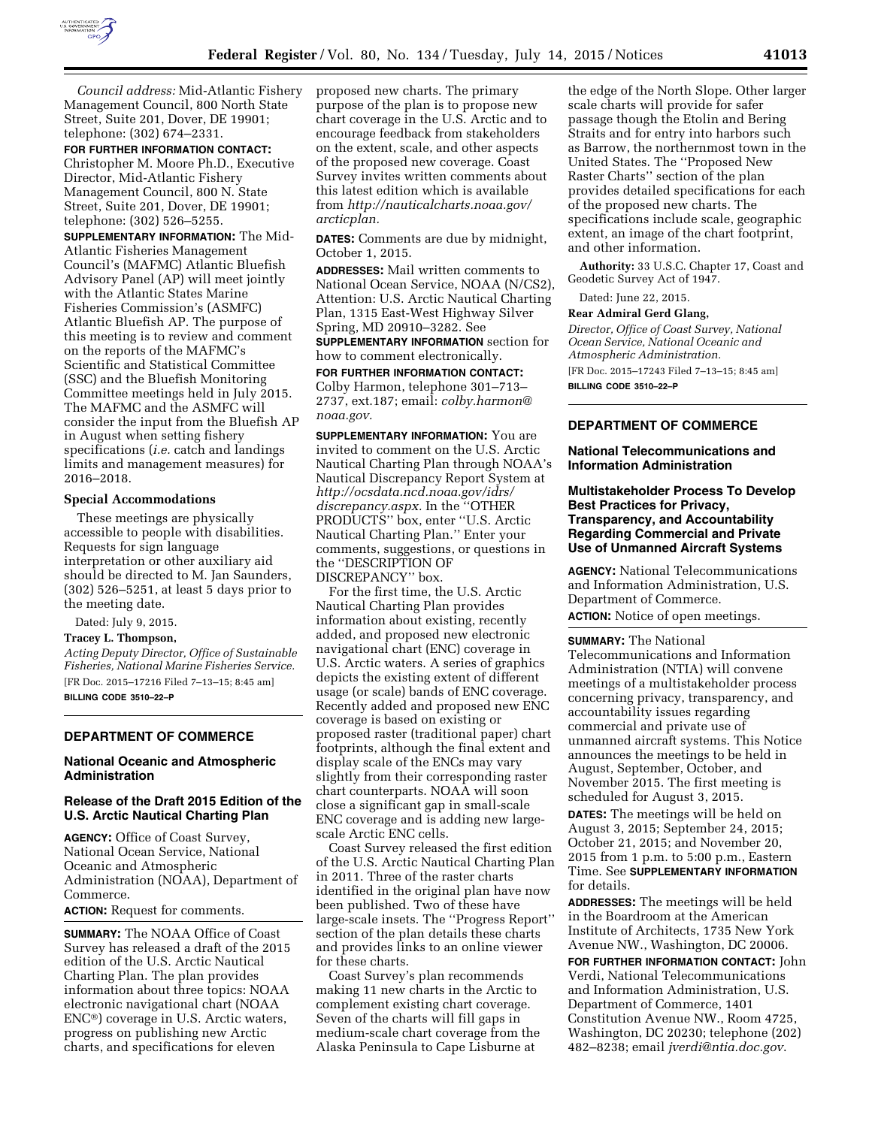

*Council address:* Mid-Atlantic Fishery Management Council, 800 North State Street, Suite 201, Dover, DE 19901; telephone: (302) 674–2331.

#### **FOR FURTHER INFORMATION CONTACT:**

Christopher M. Moore Ph.D., Executive Director, Mid-Atlantic Fishery Management Council, 800 N. State Street, Suite 201, Dover, DE 19901; telephone: (302) 526–5255.

**SUPPLEMENTARY INFORMATION:** The Mid-Atlantic Fisheries Management Council's (MAFMC) Atlantic Bluefish Advisory Panel (AP) will meet jointly with the Atlantic States Marine Fisheries Commission's (ASMFC) Atlantic Bluefish AP. The purpose of this meeting is to review and comment on the reports of the MAFMC's Scientific and Statistical Committee (SSC) and the Bluefish Monitoring Committee meetings held in July 2015. The MAFMC and the ASMFC will consider the input from the Bluefish AP in August when setting fishery specifications (*i.e.* catch and landings limits and management measures) for 2016–2018.

#### **Special Accommodations**

These meetings are physically accessible to people with disabilities. Requests for sign language interpretation or other auxiliary aid should be directed to M. Jan Saunders, (302) 526–5251, at least 5 days prior to the meeting date.

Dated: July 9, 2015.

#### **Tracey L. Thompson,**

*Acting Deputy Director, Office of Sustainable Fisheries, National Marine Fisheries Service.*  [FR Doc. 2015–17216 Filed 7–13–15; 8:45 am] **BILLING CODE 3510–22–P** 

### **DEPARTMENT OF COMMERCE**

### **National Oceanic and Atmospheric Administration**

### **Release of the Draft 2015 Edition of the U.S. Arctic Nautical Charting Plan**

**AGENCY:** Office of Coast Survey, National Ocean Service, National Oceanic and Atmospheric Administration (NOAA), Department of Commerce.

### **ACTION:** Request for comments.

**SUMMARY:** The NOAA Office of Coast Survey has released a draft of the 2015 edition of the U.S. Arctic Nautical Charting Plan. The plan provides information about three topics: NOAA electronic navigational chart (NOAA ENC®) coverage in U.S. Arctic waters, progress on publishing new Arctic charts, and specifications for eleven

proposed new charts. The primary purpose of the plan is to propose new chart coverage in the U.S. Arctic and to encourage feedback from stakeholders on the extent, scale, and other aspects of the proposed new coverage. Coast Survey invites written comments about this latest edition which is available from *[http://nauticalcharts.noaa.gov/](http://nauticalcharts.noaa.gov/arcticplan) [arcticplan.](http://nauticalcharts.noaa.gov/arcticplan)* 

**DATES:** Comments are due by midnight, October 1, 2015.

**ADDRESSES:** Mail written comments to National Ocean Service, NOAA (N/CS2), Attention: U.S. Arctic Nautical Charting Plan, 1315 East-West Highway Silver Spring, MD 20910–3282. See

**SUPPLEMENTARY INFORMATION** section for how to comment electronically.

### **FOR FURTHER INFORMATION CONTACT:**  Colby Harmon, telephone 301–713– 2737, ext.187; email: *[colby.harmon@](mailto:colby.harmon@noaa.gov) [noaa.gov.](mailto:colby.harmon@noaa.gov)*

**SUPPLEMENTARY INFORMATION:** You are invited to comment on the U.S. Arctic Nautical Charting Plan through NOAA's Nautical Discrepancy Report System at *[http://ocsdata.ncd.noaa.gov/idrs/](http://ocsdata.ncd.noaa.gov/idrs/discrepancy.aspx) [discrepancy.aspx.](http://ocsdata.ncd.noaa.gov/idrs/discrepancy.aspx)* In the ''OTHER PRODUCTS'' box, enter ''U.S. Arctic Nautical Charting Plan.'' Enter your comments, suggestions, or questions in the ''DESCRIPTION OF DISCREPANCY'' box.

For the first time, the U.S. Arctic Nautical Charting Plan provides information about existing, recently added, and proposed new electronic navigational chart (ENC) coverage in U.S. Arctic waters. A series of graphics depicts the existing extent of different usage (or scale) bands of ENC coverage. Recently added and proposed new ENC coverage is based on existing or proposed raster (traditional paper) chart footprints, although the final extent and display scale of the ENCs may vary slightly from their corresponding raster chart counterparts. NOAA will soon close a significant gap in small-scale ENC coverage and is adding new largescale Arctic ENC cells.

Coast Survey released the first edition of the U.S. Arctic Nautical Charting Plan in 2011. Three of the raster charts identified in the original plan have now been published. Two of these have large-scale insets. The ''Progress Report'' section of the plan details these charts and provides links to an online viewer for these charts.

Coast Survey's plan recommends making 11 new charts in the Arctic to complement existing chart coverage. Seven of the charts will fill gaps in medium-scale chart coverage from the Alaska Peninsula to Cape Lisburne at

the edge of the North Slope. Other larger scale charts will provide for safer passage though the Etolin and Bering Straits and for entry into harbors such as Barrow, the northernmost town in the United States. The ''Proposed New Raster Charts'' section of the plan provides detailed specifications for each of the proposed new charts. The specifications include scale, geographic extent, an image of the chart footprint, and other information.

**Authority:** 33 U.S.C. Chapter 17, Coast and Geodetic Survey Act of 1947.

Dated: June 22, 2015.

#### **Rear Admiral Gerd Glang,**

*Director, Office of Coast Survey, National Ocean Service, National Oceanic and Atmospheric Administration.* 

[FR Doc. 2015–17243 Filed 7–13–15; 8:45 am] **BILLING CODE 3510–22–P** 

### **DEPARTMENT OF COMMERCE**

#### **National Telecommunications and Information Administration**

# **Multistakeholder Process To Develop Best Practices for Privacy, Transparency, and Accountability Regarding Commercial and Private Use of Unmanned Aircraft Systems**

**AGENCY:** National Telecommunications and Information Administration, U.S. Department of Commerce. **ACTION:** Notice of open meetings.

#### **SUMMARY:** The National

Telecommunications and Information Administration (NTIA) will convene meetings of a multistakeholder process concerning privacy, transparency, and accountability issues regarding commercial and private use of unmanned aircraft systems. This Notice announces the meetings to be held in August, September, October, and November 2015. The first meeting is scheduled for August 3, 2015.

**DATES:** The meetings will be held on August 3, 2015; September 24, 2015; October 21, 2015; and November 20, 2015 from 1 p.m. to 5:00 p.m., Eastern Time. See **SUPPLEMENTARY INFORMATION** for details.

**ADDRESSES:** The meetings will be held in the Boardroom at the American Institute of Architects, 1735 New York Avenue NW., Washington, DC 20006.

**FOR FURTHER INFORMATION CONTACT:** John Verdi, National Telecommunications and Information Administration, U.S. Department of Commerce, 1401 Constitution Avenue NW., Room 4725, Washington, DC 20230; telephone (202) 482–8238; email *[jverdi@ntia.doc.gov](mailto:jverdi@ntia.doc.gov)*.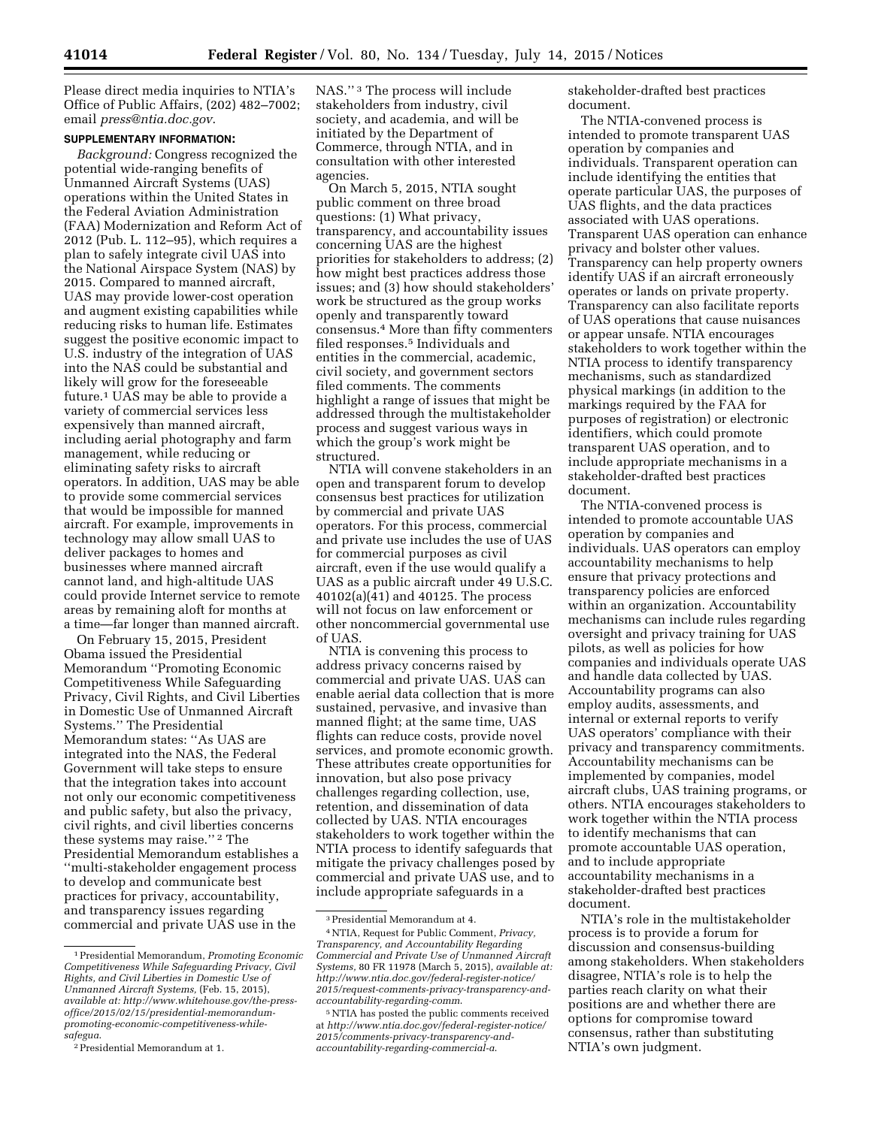Please direct media inquiries to NTIA's Office of Public Affairs, (202) 482–7002; email *[press@ntia.doc.gov](mailto:press@ntia.doc.gov)*.

## **SUPPLEMENTARY INFORMATION:**

*Background:* Congress recognized the potential wide-ranging benefits of Unmanned Aircraft Systems (UAS) operations within the United States in the Federal Aviation Administration (FAA) Modernization and Reform Act of 2012 (Pub. L. 112–95), which requires a plan to safely integrate civil UAS into the National Airspace System (NAS) by 2015. Compared to manned aircraft, UAS may provide lower-cost operation and augment existing capabilities while reducing risks to human life. Estimates suggest the positive economic impact to U.S. industry of the integration of UAS into the NAS could be substantial and likely will grow for the foreseeable future.1 UAS may be able to provide a variety of commercial services less expensively than manned aircraft, including aerial photography and farm management, while reducing or eliminating safety risks to aircraft operators. In addition, UAS may be able to provide some commercial services that would be impossible for manned aircraft. For example, improvements in technology may allow small UAS to deliver packages to homes and businesses where manned aircraft cannot land, and high-altitude UAS could provide Internet service to remote areas by remaining aloft for months at a time—far longer than manned aircraft.

On February 15, 2015, President Obama issued the Presidential Memorandum ''Promoting Economic Competitiveness While Safeguarding Privacy, Civil Rights, and Civil Liberties in Domestic Use of Unmanned Aircraft Systems.'' The Presidential Memorandum states: ''As UAS are integrated into the NAS, the Federal Government will take steps to ensure that the integration takes into account not only our economic competitiveness and public safety, but also the privacy, civil rights, and civil liberties concerns these systems may raise.'' 2 The Presidential Memorandum establishes a ''multi-stakeholder engagement process to develop and communicate best practices for privacy, accountability, and transparency issues regarding commercial and private UAS use in the

NAS.'' 3 The process will include stakeholders from industry, civil society, and academia, and will be initiated by the Department of Commerce, through NTIA, and in consultation with other interested agencies.

On March 5, 2015, NTIA sought public comment on three broad questions: (1) What privacy, transparency, and accountability issues concerning UAS are the highest priorities for stakeholders to address; (2) how might best practices address those issues; and (3) how should stakeholders' work be structured as the group works openly and transparently toward consensus.4 More than fifty commenters filed responses.5 Individuals and entities in the commercial, academic, civil society, and government sectors filed comments. The comments highlight a range of issues that might be addressed through the multistakeholder process and suggest various ways in which the group's work might be structured.

NTIA will convene stakeholders in an open and transparent forum to develop consensus best practices for utilization by commercial and private UAS operators. For this process, commercial and private use includes the use of UAS for commercial purposes as civil aircraft, even if the use would qualify a UAS as a public aircraft under 49 U.S.C. 40102(a)(41) and 40125. The process will not focus on law enforcement or other noncommercial governmental use of UAS.

NTIA is convening this process to address privacy concerns raised by commercial and private UAS. UAS can enable aerial data collection that is more sustained, pervasive, and invasive than manned flight; at the same time, UAS flights can reduce costs, provide novel services, and promote economic growth. These attributes create opportunities for innovation, but also pose privacy challenges regarding collection, use, retention, and dissemination of data collected by UAS. NTIA encourages stakeholders to work together within the NTIA process to identify safeguards that mitigate the privacy challenges posed by commercial and private UAS use, and to include appropriate safeguards in a

stakeholder-drafted best practices document.

The NTIA-convened process is intended to promote transparent UAS operation by companies and individuals. Transparent operation can include identifying the entities that operate particular UAS, the purposes of UAS flights, and the data practices associated with UAS operations. Transparent UAS operation can enhance privacy and bolster other values. Transparency can help property owners identify UAS if an aircraft erroneously operates or lands on private property. Transparency can also facilitate reports of UAS operations that cause nuisances or appear unsafe. NTIA encourages stakeholders to work together within the NTIA process to identify transparency mechanisms, such as standardized physical markings (in addition to the markings required by the FAA for purposes of registration) or electronic identifiers, which could promote transparent UAS operation, and to include appropriate mechanisms in a stakeholder-drafted best practices document.

The NTIA-convened process is intended to promote accountable UAS operation by companies and individuals. UAS operators can employ accountability mechanisms to help ensure that privacy protections and transparency policies are enforced within an organization. Accountability mechanisms can include rules regarding oversight and privacy training for UAS pilots, as well as policies for how companies and individuals operate UAS and handle data collected by UAS. Accountability programs can also employ audits, assessments, and internal or external reports to verify UAS operators' compliance with their privacy and transparency commitments. Accountability mechanisms can be implemented by companies, model aircraft clubs, UAS training programs, or others. NTIA encourages stakeholders to work together within the NTIA process to identify mechanisms that can promote accountable UAS operation, and to include appropriate accountability mechanisms in a stakeholder-drafted best practices document.

NTIA's role in the multistakeholder process is to provide a forum for discussion and consensus-building among stakeholders. When stakeholders disagree, NTIA's role is to help the parties reach clarity on what their positions are and whether there are options for compromise toward consensus, rather than substituting NTIA's own judgment.

<sup>1</sup>Presidential Memorandum, *Promoting Economic Competitiveness While Safeguarding Privacy, Civil Rights, and Civil Liberties in Domestic Use of Unmanned Aircraft Systems,* (Feb. 15, 2015), *available at: [http://www.whitehouse.gov/the-press](http://www.whitehouse.gov/the-press-office/2015/02/15/presidential-memorandum-promoting-economic-competitiveness-while-safegua)[office/2015/02/15/presidential-memorandum](http://www.whitehouse.gov/the-press-office/2015/02/15/presidential-memorandum-promoting-economic-competitiveness-while-safegua)[promoting-economic-competitiveness-while](http://www.whitehouse.gov/the-press-office/2015/02/15/presidential-memorandum-promoting-economic-competitiveness-while-safegua)[safegua](http://www.whitehouse.gov/the-press-office/2015/02/15/presidential-memorandum-promoting-economic-competitiveness-while-safegua)*.

<sup>2</sup>Presidential Memorandum at 1.

<sup>3</sup>Presidential Memorandum at 4.

<sup>4</sup>NTIA, Request for Public Comment, *Privacy, Transparency, and Accountability Regarding Commercial and Private Use of Unmanned Aircraft Systems,* 80 FR 11978 (March 5, 2015), *available at: [http://www.ntia.doc.gov/federal-register-notice/](http://www.ntia.doc.gov/federal-register-notice/2015/request-comments-privacy-transparency-and-accountability-regarding-comm) [2015/request-comments-privacy-transparency-and](http://www.ntia.doc.gov/federal-register-notice/2015/request-comments-privacy-transparency-and-accountability-regarding-comm)[accountability-regarding-comm](http://www.ntia.doc.gov/federal-register-notice/2015/request-comments-privacy-transparency-and-accountability-regarding-comm)*.

<sup>5</sup>NTIA has posted the public comments received at *[http://www.ntia.doc.gov/federal-register-notice/](http://www.ntia.doc.gov/federal-register-notice/2015/comments-privacy-transparency-and-accountability-regarding-commercial-a) [2015/comments-privacy-transparency-and](http://www.ntia.doc.gov/federal-register-notice/2015/comments-privacy-transparency-and-accountability-regarding-commercial-a)[accountability-regarding-commercial-a](http://www.ntia.doc.gov/federal-register-notice/2015/comments-privacy-transparency-and-accountability-regarding-commercial-a)*.